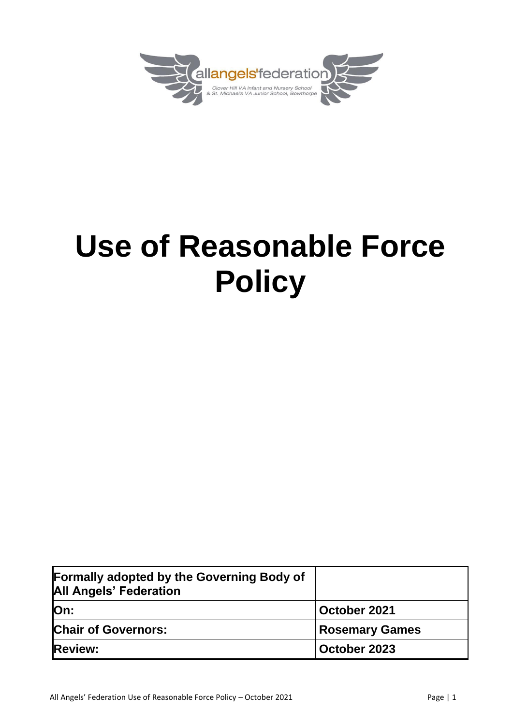

# **Use of Reasonable Force Policy**

| <b>Formally adopted by the Governing Body of</b><br><b>All Angels' Federation</b> |                       |
|-----------------------------------------------------------------------------------|-----------------------|
| lOn:                                                                              | October 2021          |
| <b>Chair of Governors:</b>                                                        | <b>Rosemary Games</b> |
| <b>Review:</b>                                                                    | October 2023          |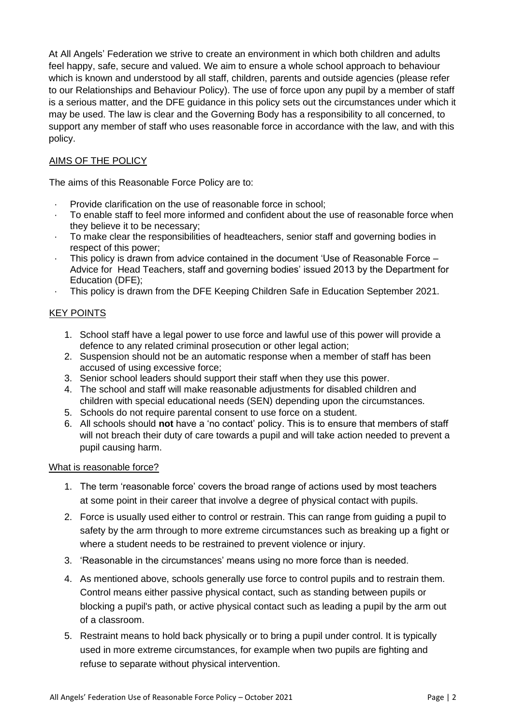At All Angels' Federation we strive to create an environment in which both children and adults feel happy, safe, secure and valued. We aim to ensure a whole school approach to behaviour which is known and understood by all staff, children, parents and outside agencies (please refer to our Relationships and Behaviour Policy). The use of force upon any pupil by a member of staff is a serious matter, and the DFE guidance in this policy sets out the circumstances under which it may be used. The law is clear and the Governing Body has a responsibility to all concerned, to support any member of staff who uses reasonable force in accordance with the law, and with this policy.

## AIMS OF THE POLICY

The aims of this Reasonable Force Policy are to:

- Provide clarification on the use of reasonable force in school:
- · To enable staff to feel more informed and confident about the use of reasonable force when they believe it to be necessary;
- · To make clear the responsibilities of headteachers, senior staff and governing bodies in respect of this power;
- This policy is drawn from advice contained in the document 'Use of Reasonable Force Advice for Head Teachers, staff and governing bodies' issued 2013 by the Department for Education (DFE);
- · This policy is drawn from the DFE Keeping Children Safe in Education September 2021.

#### KEY POINTS

- 1. School staff have a legal power to use force and lawful use of this power will provide a defence to any related criminal prosecution or other legal action;
- 2. Suspension should not be an automatic response when a member of staff has been accused of using excessive force;
- 3. Senior school leaders should support their staff when they use this power.
- 4. The school and staff will make reasonable adjustments for disabled children and children with special educational needs (SEN) depending upon the circumstances.
- 5. Schools do not require parental consent to use force on a student.
- 6. All schools should **not** have a 'no contact' policy. This is to ensure that members of staff will not breach their duty of care towards a pupil and will take action needed to prevent a pupil causing harm.

#### What is reasonable force?

- 1. The term 'reasonable force' covers the broad range of actions used by most teachers at some point in their career that involve a degree of physical contact with pupils.
- 2. Force is usually used either to control or restrain. This can range from guiding a pupil to safety by the arm through to more extreme circumstances such as breaking up a fight or where a student needs to be restrained to prevent violence or injury.
- 3. 'Reasonable in the circumstances' means using no more force than is needed.
- 4. As mentioned above, schools generally use force to control pupils and to restrain them. Control means either passive physical contact, such as standing between pupils or blocking a pupil's path, or active physical contact such as leading a pupil by the arm out of a classroom.
- 5. Restraint means to hold back physically or to bring a pupil under control. It is typically used in more extreme circumstances, for example when two pupils are fighting and refuse to separate without physical intervention.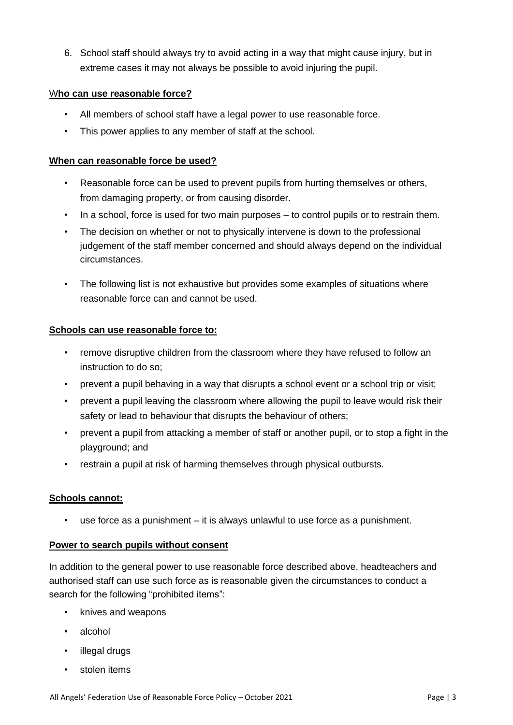6. School staff should always try to avoid acting in a way that might cause injury, but in extreme cases it may not always be possible to avoid injuring the pupil.

## W**ho can use reasonable force?**

- All members of school staff have a legal power to use reasonable force.
- This power applies to any member of staff at the school.

## **When can reasonable force be used?**

- Reasonable force can be used to prevent pupils from hurting themselves or others, from damaging property, or from causing disorder.
- In a school, force is used for two main purposes to control pupils or to restrain them.
- The decision on whether or not to physically intervene is down to the professional judgement of the staff member concerned and should always depend on the individual circumstances.
- The following list is not exhaustive but provides some examples of situations where reasonable force can and cannot be used.

## **Schools can use reasonable force to:**

- remove disruptive children from the classroom where they have refused to follow an instruction to do so;
- prevent a pupil behaving in a way that disrupts a school event or a school trip or visit;
- prevent a pupil leaving the classroom where allowing the pupil to leave would risk their safety or lead to behaviour that disrupts the behaviour of others;
- prevent a pupil from attacking a member of staff or another pupil, or to stop a fight in the playground; and
- restrain a pupil at risk of harming themselves through physical outbursts.

#### **Schools cannot:**

• use force as a punishment – it is always unlawful to use force as a punishment.

#### **Power to search pupils without consent**

In addition to the general power to use reasonable force described above, headteachers and authorised staff can use such force as is reasonable given the circumstances to conduct a search for the following "prohibited items":

- knives and weapons
- alcohol
- illegal drugs
- stolen items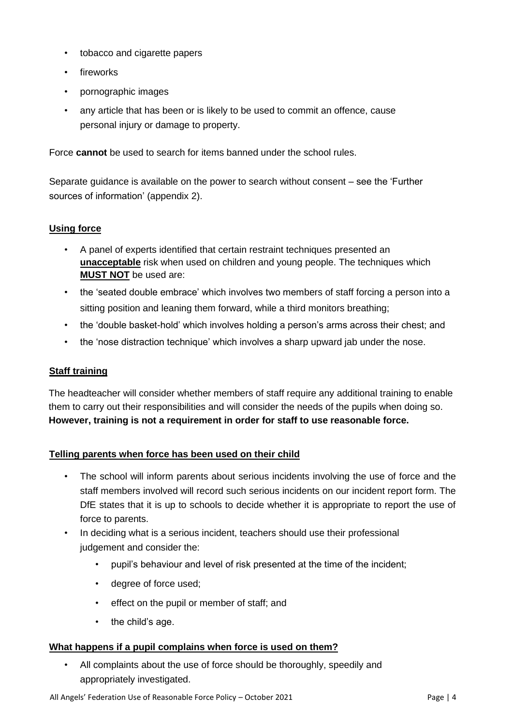- tobacco and cigarette papers
- fireworks
- pornographic images
- any article that has been or is likely to be used to commit an offence, cause personal injury or damage to property.

Force **cannot** be used to search for items banned under the school rules.

Separate guidance is available on the power to search without consent – see the 'Further sources of information' (appendix 2).

## **Using force**

- A panel of experts identified that certain restraint techniques presented an **unacceptable** risk when used on children and young people. The techniques which **MUST NOT** be used are:
- the 'seated double embrace' which involves two members of staff forcing a person into a sitting position and leaning them forward, while a third monitors breathing;
- the 'double basket-hold' which involves holding a person's arms across their chest; and
- the 'nose distraction technique' which involves a sharp upward jab under the nose.

## **Staff training**

The headteacher will consider whether members of staff require any additional training to enable them to carry out their responsibilities and will consider the needs of the pupils when doing so. **However, training is not a requirement in order for staff to use reasonable force.** 

## **Telling parents when force has been used on their child**

- The school will inform parents about serious incidents involving the use of force and the staff members involved will record such serious incidents on our incident report form. The DfE states that it is up to schools to decide whether it is appropriate to report the use of force to parents.
- In deciding what is a serious incident, teachers should use their professional judgement and consider the:
	- pupil's behaviour and level of risk presented at the time of the incident;
	- degree of force used;
	- effect on the pupil or member of staff; and
	- the child's age.

## **What happens if a pupil complains when force is used on them?**

All complaints about the use of force should be thoroughly, speedily and appropriately investigated.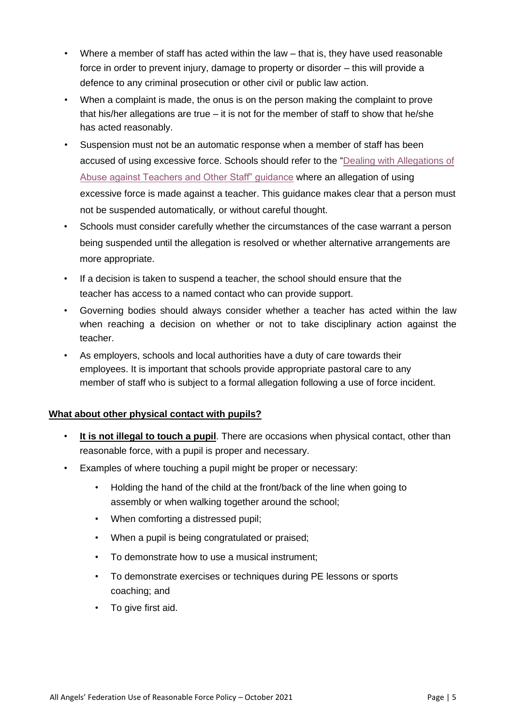- Where a member of staff has acted within the law that is, they have used reasonable force in order to prevent injury, damage to property or disorder – this will provide a defence to any criminal prosecution or other civil or public law action.
- When a complaint is made, the onus is on the person making the complaint to prove that his/her allegations are true – it is not for the member of staff to show that he/she has acted reasonably.
- Suspension must not be an automatic response when a member of staff has been accused of using excessive force. Schools should refer to the ["Dealing with Allegations of](https://www.gov.uk/government/publications/allegations-of-abuse-against-teachers-and-non-teaching-staff)  [Abuse against Teachers and Other Staff" guidance](https://www.gov.uk/government/publications/allegations-of-abuse-against-teachers-and-non-teaching-staff) where an allegation of using excessive force is made against a teacher. This guidance makes clear that a person must not be suspended automatically*,* or without careful thought.
- Schools must consider carefully whether the circumstances of the case warrant a person being suspended until the allegation is resolved or whether alternative arrangements are more appropriate.
- If a decision is taken to suspend a teacher, the school should ensure that the teacher has access to a named contact who can provide support.
- Governing bodies should always consider whether a teacher has acted within the law when reaching a decision on whether or not to take disciplinary action against the teacher.
- As employers, schools and local authorities have a duty of care towards their employees. It is important that schools provide appropriate pastoral care to any member of staff who is subject to a formal allegation following a use of force incident.

## **What about other physical contact with pupils?**

- **It is not illegal to touch a pupil**. There are occasions when physical contact, other than reasonable force, with a pupil is proper and necessary.
- Examples of where touching a pupil might be proper or necessary:
	- Holding the hand of the child at the front/back of the line when going to assembly or when walking together around the school;
	- When comforting a distressed pupil;
	- When a pupil is being congratulated or praised;
	- To demonstrate how to use a musical instrument;
	- To demonstrate exercises or techniques during PE lessons or sports coaching; and
	- To give first aid.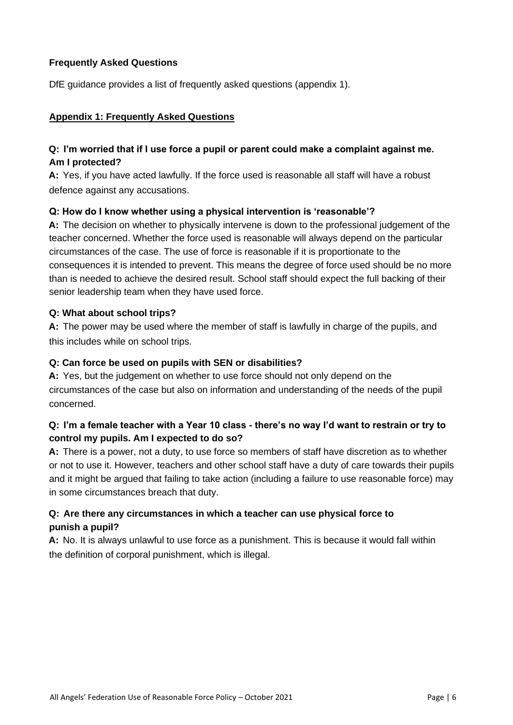## **Frequently Asked Questions**

DfE guidance provides a list of frequently asked questions (appendix 1).

## **Appendix 1: Frequently Asked Questions**

## **Q: I'm worried that if I use force a pupil or parent could make a complaint against me. Am I protected?**

**A:** Yes, if you have acted lawfully. If the force used is reasonable all staff will have a robust defence against any accusations.

## **Q: How do I know whether using a physical intervention is 'reasonable'?**

**A:** The decision on whether to physically intervene is down to the professional judgement of the teacher concerned. Whether the force used is reasonable will always depend on the particular circumstances of the case. The use of force is reasonable if it is proportionate to the consequences it is intended to prevent. This means the degree of force used should be no more than is needed to achieve the desired result. School staff should expect the full backing of their senior leadership team when they have used force.

## **Q: What about school trips?**

**A:** The power may be used where the member of staff is lawfully in charge of the pupils, and this includes while on school trips.

## **Q: Can force be used on pupils with SEN or disabilities?**

**A:** Yes, but the judgement on whether to use force should not only depend on the circumstances of the case but also on information and understanding of the needs of the pupil concerned.

## **Q: I'm a female teacher with a Year 10 class - there's no way I'd want to restrain or try to control my pupils. Am I expected to do so?**

**A:** There is a power, not a duty, to use force so members of staff have discretion as to whether or not to use it. However, teachers and other school staff have a duty of care towards their pupils and it might be argued that failing to take action (including a failure to use reasonable force) may in some circumstances breach that duty.

## **Q: Are there any circumstances in which a teacher can use physical force to punish a pupil?**

**A:** No. It is always unlawful to use force as a punishment. This is because it would fall within the definition of corporal punishment, which is illegal.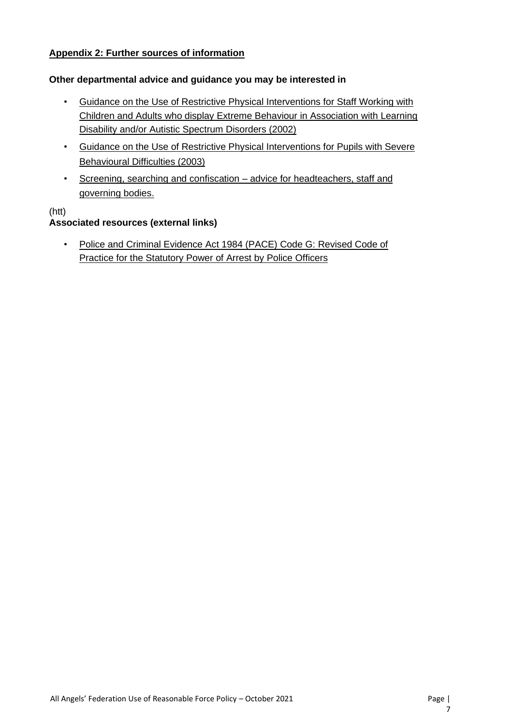## **Appendix 2: Further sources of information**

#### **Other departmental advice and guidance you may be interested in**

- [Guidance on the Use of Restrictive Physical Interventions for Staff Working with](http://media.education.gov.uk/assets/files/pdf/g/guidance%20on%20the%20use%20of%20restrictive%20physical%20interventions.pdf) [Children and Adults who display Extreme Behaviour in Association with Learning](http://media.education.gov.uk/assets/files/pdf/g/guidance%20on%20the%20use%20of%20restrictive%20physical%20interventions.pdf) [Disability and/or Autistic Spectrum Disorders \(2002\)](http://media.education.gov.uk/assets/files/pdf/g/guidance%20on%20the%20use%20of%20restrictive%20physical%20interventions.pdf)
- [Guidance on the Use of Restrictive Physical Interventions for Pupils with Severe](http://media.education.gov.uk/assets/files/pdf/g/guidance%20on%20the%20use%20of%20restrictive%20physical%20interventions%20for%20pupils%20with%20severe%20behavioural%20difficulties_2003.pdf) [Behavioural Difficulties \(2003\)](http://media.education.gov.uk/assets/files/pdf/g/guidance%20on%20the%20use%20of%20restrictive%20physical%20interventions%20for%20pupils%20with%20severe%20behavioural%20difficulties_2003.pdf)
- [Screening, searching and confiscation –](http://www.education.gov.uk/schools/pupilsupport/behaviour/behaviourpolicies/f0076897/screening,-searching-and-confiscation) advice for headteachers, staff and [governing bodies.](http://www.education.gov.uk/schools/pupilsupport/behaviour/behaviourpolicies/f0076897/screening,-searching-and-confiscation)

## (htt)

## **Associated resources (external links)**

• [Police and Criminal Evidence Act 1984 \(PACE\) Code G: Revised Code of](https://www.gov.uk/government/uploads/system/uploads/attachment_data/file/117604/pace-code-g-2012.pdf) [Practice for the Statutory Power of Arrest by Police Officers](https://www.gov.uk/government/uploads/system/uploads/attachment_data/file/117604/pace-code-g-2012.pdf)